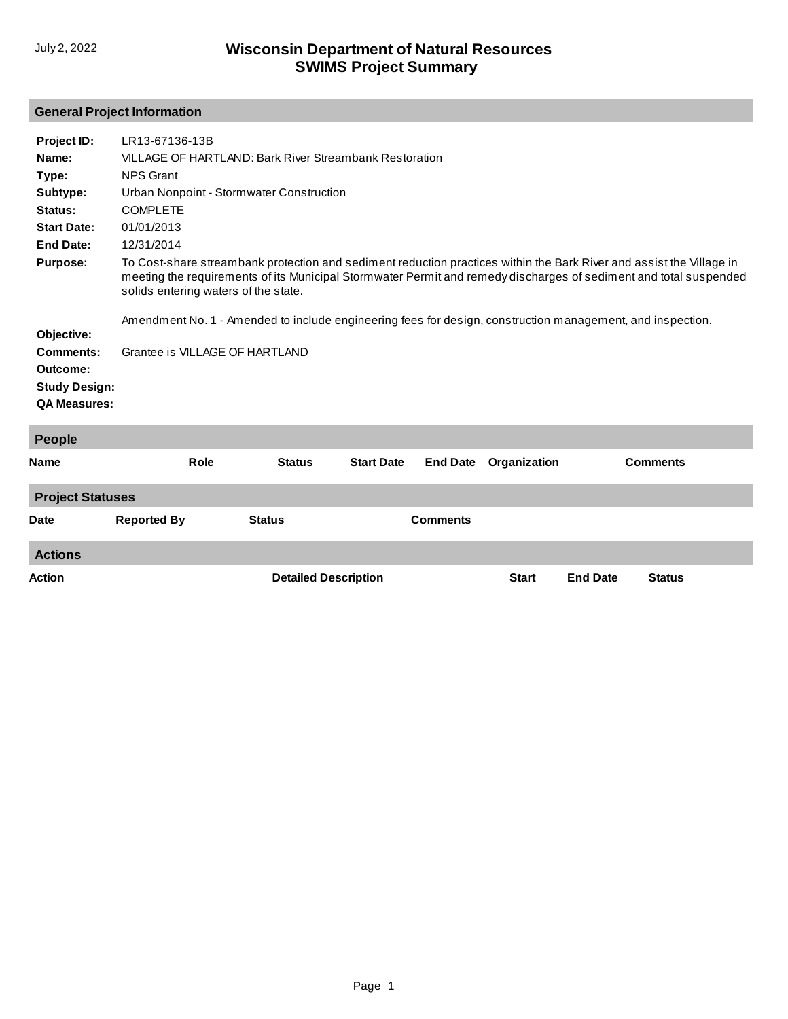# **General Project Information**

| Project ID:<br>Name:<br>Type:<br>Subtype:<br>Status:<br><b>Start Date:</b><br><b>End Date:</b><br><b>Purpose:</b><br>Objective:<br><b>Comments:</b><br>Outcome:<br><b>Study Design:</b><br><b>QA Measures:</b> | LR13-67136-13B<br>VILLAGE OF HARTLAND: Bark River Streambank Restoration<br><b>NPS Grant</b><br>Urban Nonpoint - Stormwater Construction<br><b>COMPLETE</b><br>01/01/2013<br>12/31/2014<br>To Cost-share streambank protection and sediment reduction practices within the Bark River and assist the Village in<br>meeting the requirements of its Municipal Stormwater Permit and remedy discharges of sediment and total suspended<br>solids entering waters of the state.<br>Amendment No. 1 - Amended to include engineering fees for design, construction management, and inspection.<br>Grantee is VILLAGE OF HARTLAND |                             |                   |                 |              |                 |                 |  |
|----------------------------------------------------------------------------------------------------------------------------------------------------------------------------------------------------------------|------------------------------------------------------------------------------------------------------------------------------------------------------------------------------------------------------------------------------------------------------------------------------------------------------------------------------------------------------------------------------------------------------------------------------------------------------------------------------------------------------------------------------------------------------------------------------------------------------------------------------|-----------------------------|-------------------|-----------------|--------------|-----------------|-----------------|--|
| People                                                                                                                                                                                                         |                                                                                                                                                                                                                                                                                                                                                                                                                                                                                                                                                                                                                              |                             |                   |                 |              |                 |                 |  |
| <b>Name</b>                                                                                                                                                                                                    | Role                                                                                                                                                                                                                                                                                                                                                                                                                                                                                                                                                                                                                         | <b>Status</b>               | <b>Start Date</b> | <b>End Date</b> | Organization |                 | <b>Comments</b> |  |
| <b>Project Statuses</b>                                                                                                                                                                                        |                                                                                                                                                                                                                                                                                                                                                                                                                                                                                                                                                                                                                              |                             |                   |                 |              |                 |                 |  |
| Date                                                                                                                                                                                                           | <b>Reported By</b>                                                                                                                                                                                                                                                                                                                                                                                                                                                                                                                                                                                                           | <b>Status</b>               |                   | <b>Comments</b> |              |                 |                 |  |
| <b>Actions</b>                                                                                                                                                                                                 |                                                                                                                                                                                                                                                                                                                                                                                                                                                                                                                                                                                                                              |                             |                   |                 |              |                 |                 |  |
| Action                                                                                                                                                                                                         |                                                                                                                                                                                                                                                                                                                                                                                                                                                                                                                                                                                                                              | <b>Detailed Description</b> |                   |                 | <b>Start</b> | <b>End Date</b> | <b>Status</b>   |  |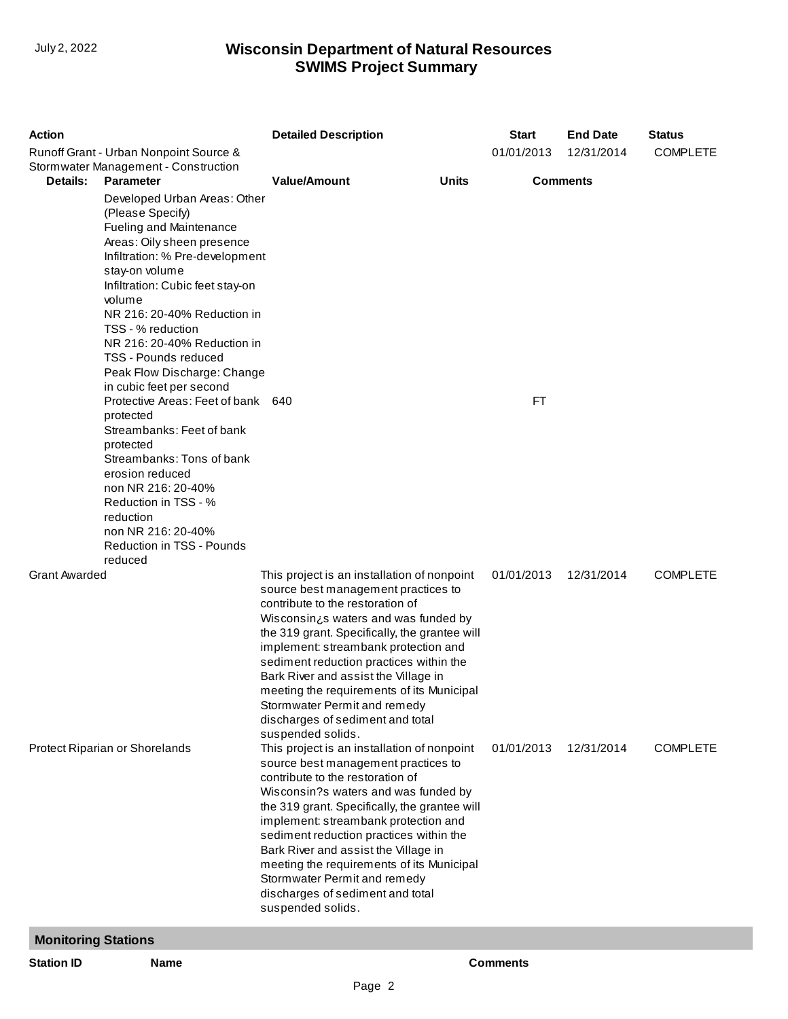| <b>Action</b>              |                                                                                                                                                                                                                                                                                                                                                                                                                                                                                               | <b>Detailed Description</b>                                                                                                                                                                                                                                                                                                                                                                                                                                                      | <b>Start</b>    | <b>End Date</b> | <b>Status</b>   |
|----------------------------|-----------------------------------------------------------------------------------------------------------------------------------------------------------------------------------------------------------------------------------------------------------------------------------------------------------------------------------------------------------------------------------------------------------------------------------------------------------------------------------------------|----------------------------------------------------------------------------------------------------------------------------------------------------------------------------------------------------------------------------------------------------------------------------------------------------------------------------------------------------------------------------------------------------------------------------------------------------------------------------------|-----------------|-----------------|-----------------|
|                            | Runoff Grant - Urban Nonpoint Source &<br>Stormwater Management - Construction                                                                                                                                                                                                                                                                                                                                                                                                                |                                                                                                                                                                                                                                                                                                                                                                                                                                                                                  | 01/01/2013      | 12/31/2014      | <b>COMPLETE</b> |
| Details:                   | <b>Parameter</b><br>Developed Urban Areas: Other<br>(Please Specify)<br>Fueling and Maintenance<br>Areas: Oily sheen presence<br>Infiltration: % Pre-development<br>stay-on volume<br>Infiltration: Cubic feet stay-on<br>volume<br>NR 216: 20-40% Reduction in<br>TSS - % reduction<br>NR 216: 20-40% Reduction in<br><b>TSS - Pounds reduced</b><br>Peak Flow Discharge: Change<br>in cubic feet per second<br>Protective Areas: Feet of bank 640<br>protected<br>Streambanks: Feet of bank | <b>Value/Amount</b><br><b>Units</b>                                                                                                                                                                                                                                                                                                                                                                                                                                              | FT              | <b>Comments</b> |                 |
|                            | protected<br>Streambanks: Tons of bank<br>erosion reduced<br>non NR 216: 20-40%<br>Reduction in TSS - %<br>reduction<br>non NR 216: 20-40%<br>Reduction in TSS - Pounds<br>reduced                                                                                                                                                                                                                                                                                                            |                                                                                                                                                                                                                                                                                                                                                                                                                                                                                  |                 |                 |                 |
| <b>Grant Awarded</b>       |                                                                                                                                                                                                                                                                                                                                                                                                                                                                                               | This project is an installation of nonpoint<br>source best management practices to<br>contribute to the restoration of<br>Wisconsin¿s waters and was funded by<br>the 319 grant. Specifically, the grantee will<br>implement: streambank protection and<br>sediment reduction practices within the<br>Bark River and assist the Village in<br>meeting the requirements of its Municipal<br>Stormwater Permit and remedy<br>discharges of sediment and total<br>suspended solids. | 01/01/2013      | 12/31/2014      | <b>COMPLETE</b> |
|                            | Protect Riparian or Shorelands                                                                                                                                                                                                                                                                                                                                                                                                                                                                | This project is an installation of nonpoint<br>source best management practices to<br>contribute to the restoration of<br>Wisconsin?s waters and was funded by<br>the 319 grant. Specifically, the grantee will<br>implement: streambank protection and<br>sediment reduction practices within the<br>Bark River and assist the Village in<br>meeting the requirements of its Municipal<br>Stormwater Permit and remedy<br>discharges of sediment and total<br>suspended solids. | 01/01/2013      | 12/31/2014      | <b>COMPLETE</b> |
| <b>Monitoring Stations</b> |                                                                                                                                                                                                                                                                                                                                                                                                                                                                                               |                                                                                                                                                                                                                                                                                                                                                                                                                                                                                  |                 |                 |                 |
| <b>Station ID</b>          | <b>Name</b>                                                                                                                                                                                                                                                                                                                                                                                                                                                                                   |                                                                                                                                                                                                                                                                                                                                                                                                                                                                                  | <b>Comments</b> |                 |                 |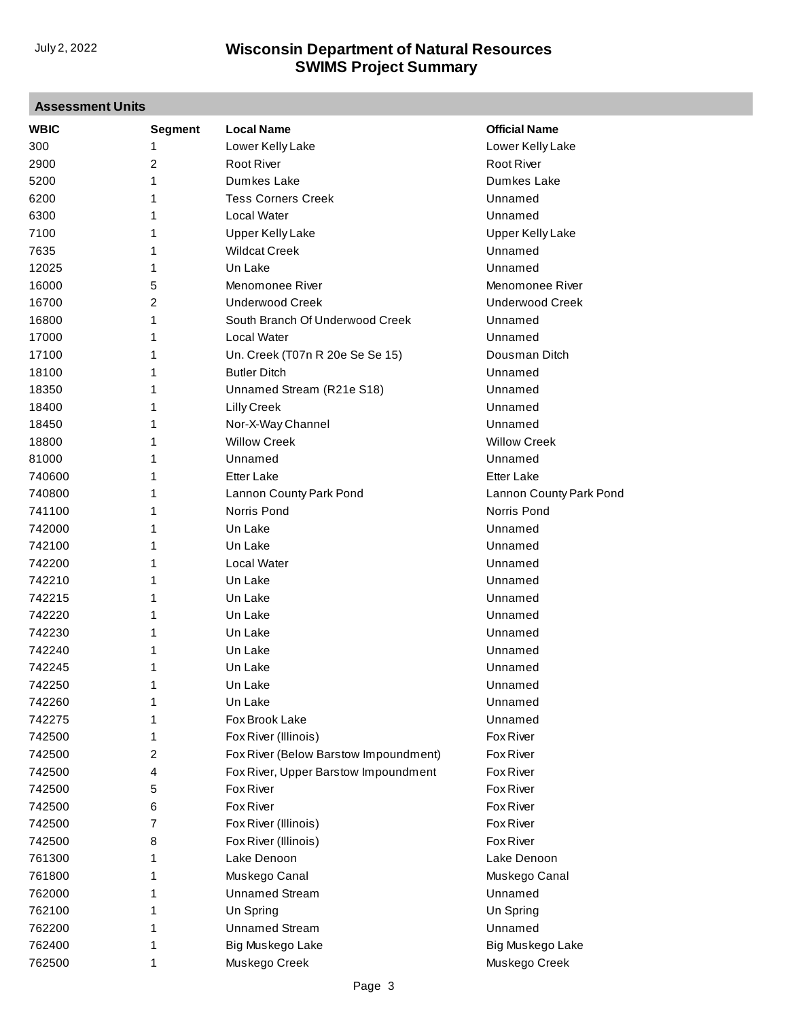| <b>Assessment Units</b> |                |                                       |                         |  |
|-------------------------|----------------|---------------------------------------|-------------------------|--|
| <b>WBIC</b>             | <b>Segment</b> | <b>Local Name</b>                     | <b>Official Name</b>    |  |
| 300                     | 1              | Lower Kelly Lake                      | Lower Kelly Lake        |  |
| 2900                    | $\overline{2}$ | <b>Root River</b>                     | <b>Root River</b>       |  |
| 5200                    | 1              | Dumkes Lake                           | Dumkes Lake             |  |
| 6200                    | 1              | <b>Tess Corners Creek</b>             | Unnamed                 |  |
| 6300                    | 1              | <b>Local Water</b>                    | Unnamed                 |  |
| 7100                    | 1              | <b>Upper Kelly Lake</b>               | <b>Upper Kelly Lake</b> |  |
| 7635                    | 1              | <b>Wildcat Creek</b>                  | Unnamed                 |  |
| 12025                   | 1              | Un Lake                               | Unnamed                 |  |
| 16000                   | 5              | Menomonee River                       | Menomonee River         |  |
| 16700                   | $\overline{2}$ | <b>Underwood Creek</b>                | <b>Underwood Creek</b>  |  |
| 16800                   | 1              | South Branch Of Underwood Creek       | Unnamed                 |  |
| 17000                   | 1              | Local Water                           | Unnamed                 |  |
| 17100                   | 1              | Un. Creek (T07n R 20e Se Se 15)       | Dousman Ditch           |  |
| 18100                   | 1              | <b>Butler Ditch</b>                   | Unnamed                 |  |
| 18350                   | 1              | Unnamed Stream (R21e S18)             | Unnamed                 |  |
| 18400                   | 1              | <b>Lilly Creek</b>                    | Unnamed                 |  |
| 18450                   | 1              | Nor-X-Way Channel                     | Unnamed                 |  |
| 18800                   | 1              | <b>Willow Creek</b>                   | <b>Willow Creek</b>     |  |
| 81000                   | 1              | Unnamed                               | Unnamed                 |  |
| 740600                  | 1              | <b>Etter Lake</b>                     | <b>Etter Lake</b>       |  |
| 740800                  | 1              | Lannon County Park Pond               | Lannon County Park Pond |  |
| 741100                  | 1              | Norris Pond                           | Norris Pond             |  |
| 742000                  | 1              | Un Lake                               | Unnamed                 |  |
| 742100                  | 1              | Un Lake                               | Unnamed                 |  |
| 742200                  | 1              | <b>Local Water</b>                    | Unnamed                 |  |
| 742210                  | 1              | Un Lake                               | Unnamed                 |  |
| 742215                  | 1              | Un Lake                               | Unnamed                 |  |
| 742220                  | 1              | Un Lake                               | Unnamed                 |  |
| 742230                  | 1              | Un Lake                               | Unnamed                 |  |
| 742240                  | 1              | Un Lake                               | Unnamed                 |  |
| 742245                  | 1              | Un Lake                               | Unnamed                 |  |
|                         | 1              |                                       |                         |  |
| 742250                  | 1              | Un Lake<br>Un Lake                    | Unnamed<br>Unnamed      |  |
| 742260<br>742275        |                | Fox Brook Lake                        |                         |  |
|                         | 1              | Fox River (Illinois)                  | Unnamed                 |  |
| 742500                  | 1              |                                       | Fox River               |  |
| 742500                  | 2              | Fox River (Below Barstow Impoundment) | Fox River               |  |
| 742500                  | 4              | Fox River, Upper Barstow Impoundment  | Fox River               |  |
| 742500                  | 5              | Fox River                             | Fox River               |  |
| 742500                  | 6              | Fox River                             | Fox River               |  |
| 742500                  | 7              | Fox River (Illinois)                  | Fox River               |  |
| 742500                  | 8              | Fox River (Illinois)                  | <b>Fox River</b>        |  |
| 761300                  | 1              | Lake Denoon                           | Lake Denoon             |  |
| 761800                  | 1              | Muskego Canal                         | Muskego Canal           |  |
| 762000                  | 1              | <b>Unnamed Stream</b>                 | Unnamed                 |  |
| 762100                  | 1              | Un Spring                             | Un Spring               |  |
| 762200                  | 1              | <b>Unnamed Stream</b>                 | Unnamed                 |  |
| 762400                  | 1              | Big Muskego Lake                      | Big Muskego Lake        |  |
| 762500                  | 1              | Muskego Creek                         | Muskego Creek           |  |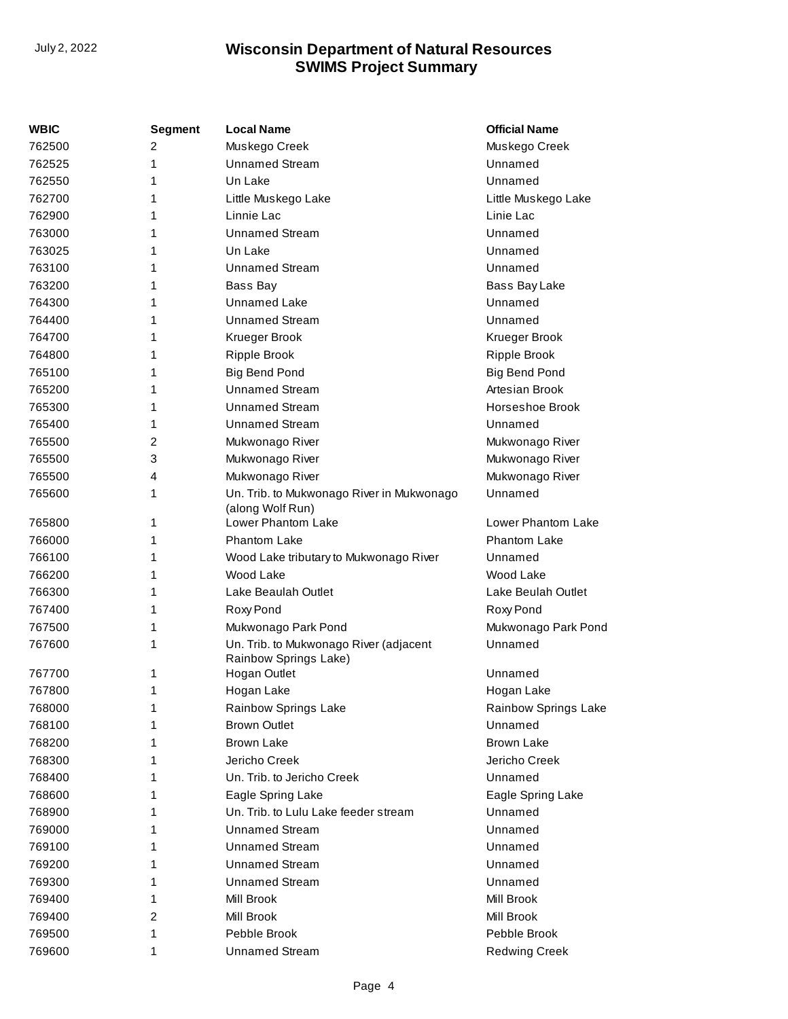| WBIC   | <b>Segment</b> | <b>Local Name</b>                                               | <b>Official Name</b> |
|--------|----------------|-----------------------------------------------------------------|----------------------|
| 762500 | 2              | Muskego Creek                                                   | Muskego Creek        |
| 762525 | 1              | <b>Unnamed Stream</b>                                           | Unnamed              |
| 762550 | 1              | Un Lake                                                         | Unnamed              |
| 762700 | 1              | Little Muskego Lake                                             | Little Muskego Lake  |
| 762900 | 1              | Linnie Lac                                                      | Linie Lac            |
| 763000 | 1              | <b>Unnamed Stream</b>                                           | Unnamed              |
| 763025 | 1              | Un Lake                                                         | Unnamed              |
| 763100 | 1              | <b>Unnamed Stream</b>                                           | Unnamed              |
| 763200 | 1              | Bass Bay                                                        | Bass Bay Lake        |
| 764300 | 1              | <b>Unnamed Lake</b>                                             | Unnamed              |
| 764400 | 1              | <b>Unnamed Stream</b>                                           | Unnamed              |
| 764700 | 1              | Krueger Brook                                                   | Krueger Brook        |
| 764800 | 1              | Ripple Brook                                                    | Ripple Brook         |
| 765100 | 1              | Big Bend Pond                                                   | <b>Big Bend Pond</b> |
| 765200 | 1              | <b>Unnamed Stream</b>                                           | Artesian Brook       |
| 765300 | 1              | <b>Unnamed Stream</b>                                           | Horseshoe Brook      |
| 765400 | 1              | <b>Unnamed Stream</b>                                           | Unnamed              |
| 765500 | 2              | Mukwonago River                                                 | Mukwonago River      |
| 765500 | 3              | Mukwonago River                                                 | Mukwonago River      |
| 765500 | 4              | Mukwonago River                                                 | Mukwonago River      |
| 765600 | 1              | Un. Trib. to Mukwonago River in Mukwonago<br>(along Wolf Run)   | Unnamed              |
| 765800 | 1              | Lower Phantom Lake                                              | Lower Phantom Lake   |
| 766000 | 1              | <b>Phantom Lake</b>                                             | <b>Phantom Lake</b>  |
| 766100 | 1              | Wood Lake tributary to Mukwonago River                          | Unnamed              |
| 766200 | 1              | Wood Lake                                                       | Wood Lake            |
| 766300 | 1              | Lake Beaulah Outlet                                             | Lake Beulah Outlet   |
| 767400 | 1              | Roxy Pond                                                       | Roxy Pond            |
| 767500 | 1              | Mukwonago Park Pond                                             | Mukwonago Park Pond  |
| 767600 | 1              | Un. Trib. to Mukwonago River (adjacent<br>Rainbow Springs Lake) | Unnamed              |
| 767700 | 1              | Hogan Outlet                                                    | Unnamed              |
| 767800 | 1              | Hogan Lake                                                      | Hogan Lake           |
| 768000 | 1              | Rainbow Springs Lake                                            | Rainbow Springs Lake |
| 768100 | 1              | <b>Brown Outlet</b>                                             | Unnamed              |
| 768200 | 1              | <b>Brown Lake</b>                                               | <b>Brown Lake</b>    |
| 768300 | 1              | Jericho Creek                                                   | Jericho Creek        |
| 768400 | 1              | Un. Trib. to Jericho Creek                                      | Unnamed              |
| 768600 | 1              | Eagle Spring Lake                                               | Eagle Spring Lake    |
| 768900 | 1              | Un. Trib. to Lulu Lake feeder stream                            | Unnamed              |
| 769000 | 1              | <b>Unnamed Stream</b>                                           | Unnamed              |
| 769100 | 1              | <b>Unnamed Stream</b>                                           | Unnamed              |
| 769200 | 1              | <b>Unnamed Stream</b>                                           | Unnamed              |
| 769300 | 1              | <b>Unnamed Stream</b>                                           | Unnamed              |
| 769400 | 1              | Mill Brook                                                      | Mill Brook           |
| 769400 | 2              | Mill Brook                                                      | Mill Brook           |
| 769500 | 1              | Pebble Brook                                                    | Pebble Brook         |
| 769600 | 1              | <b>Unnamed Stream</b>                                           | <b>Redwing Creek</b> |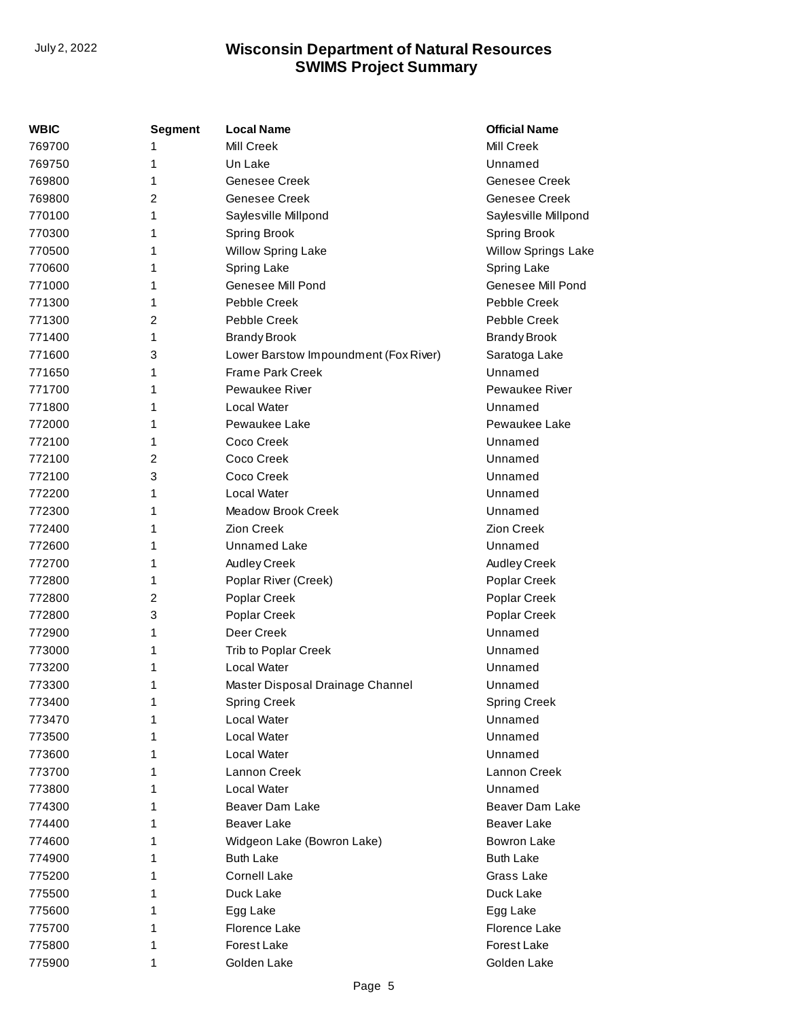| WBIC   | <b>Segment</b> | <b>Local Name</b>                     | <b>Official Name</b>       |
|--------|----------------|---------------------------------------|----------------------------|
| 769700 | 1              | Mill Creek                            | Mill Creek                 |
| 769750 | 1              | Un Lake                               | Unnamed                    |
| 769800 | 1              | Genesee Creek                         | Genesee Creek              |
| 769800 | 2              | Genesee Creek                         | Genesee Creek              |
| 770100 | 1              | Sayles ville Millpond                 | Saylesville Millpond       |
| 770300 | 1              | <b>Spring Brook</b>                   | <b>Spring Brook</b>        |
| 770500 | 1              | <b>Willow Spring Lake</b>             | <b>Willow Springs Lake</b> |
| 770600 | 1              | <b>Spring Lake</b>                    | Spring Lake                |
| 771000 | 1              | Genesee Mill Pond                     | Genesee Mill Pond          |
| 771300 | 1              | Pebble Creek                          | Pebble Creek               |
| 771300 | 2              | Pebble Creek                          | Pebble Creek               |
| 771400 | 1              | <b>Brandy Brook</b>                   | <b>Brandy Brook</b>        |
| 771600 | 3              | Lower Barstow Impoundment (Fox River) | Saratoga Lake              |
| 771650 | 1              | <b>Frame Park Creek</b>               | Unnamed                    |
| 771700 | 1              | Pewaukee River                        | <b>Pewaukee River</b>      |
| 771800 | 1              | Local Water                           | Unnamed                    |
| 772000 | 1              | Pewaukee Lake                         | Pewaukee Lake              |
| 772100 | 1              | Coco Creek                            | Unnamed                    |
| 772100 | 2              | Coco Creek                            | Unnamed                    |
| 772100 | 3              | Coco Creek                            | Unnamed                    |
| 772200 | 1              | Local Water                           | Unnamed                    |
| 772300 | 1              | <b>Meadow Brook Creek</b>             | Unnamed                    |
| 772400 | 1              | <b>Zion Creek</b>                     | Zion Creek                 |
| 772600 | 1              | Unnamed Lake                          | Unnamed                    |
| 772700 | 1              | Audley Creek                          | Audley Creek               |
| 772800 | 1              | Poplar River (Creek)                  | Poplar Creek               |
| 772800 | 2              | Poplar Creek                          | Poplar Creek               |
| 772800 | 3              | Poplar Creek                          | Poplar Creek               |
| 772900 | 1              | Deer Creek                            | Unnamed                    |
| 773000 | 1              | Trib to Poplar Creek                  | Unnamed                    |
| 773200 | 1              | Local Water                           | Unnamed                    |
| 773300 | 1              | Master Disposal Drainage Channel      | Unnamed                    |
| 773400 | 1              | <b>Spring Creek</b>                   | <b>Spring Creek</b>        |
| 773470 | 1              | Local Water                           | Unnamed                    |
| 773500 | 1              | Local Water                           | Unnamed                    |
| 773600 | 1              | Local Water                           | Unnamed                    |
| 773700 | 1              | Lannon Creek                          | Lannon Creek               |
| 773800 | 1              | Local Water                           | Unnamed                    |
| 774300 | 1              | Beaver Dam Lake                       | Beaver Dam Lake            |
| 774400 | 1              | Beaver Lake                           | Beaver Lake                |
| 774600 | 1              | Widgeon Lake (Bowron Lake)            | <b>Bowron Lake</b>         |
| 774900 | 1              | <b>Buth Lake</b>                      | <b>Buth Lake</b>           |
| 775200 | 1              | <b>Cornell Lake</b>                   | Grass Lake                 |
| 775500 | 1              | Duck Lake                             | Duck Lake                  |
| 775600 | 1              | Egg Lake                              | Egg Lake                   |
| 775700 | 1              | Florence Lake                         | Florence Lake              |
| 775800 | 1              | Forest Lake                           | Forest Lake                |
| 775900 | 1              | Golden Lake                           | Golden Lake                |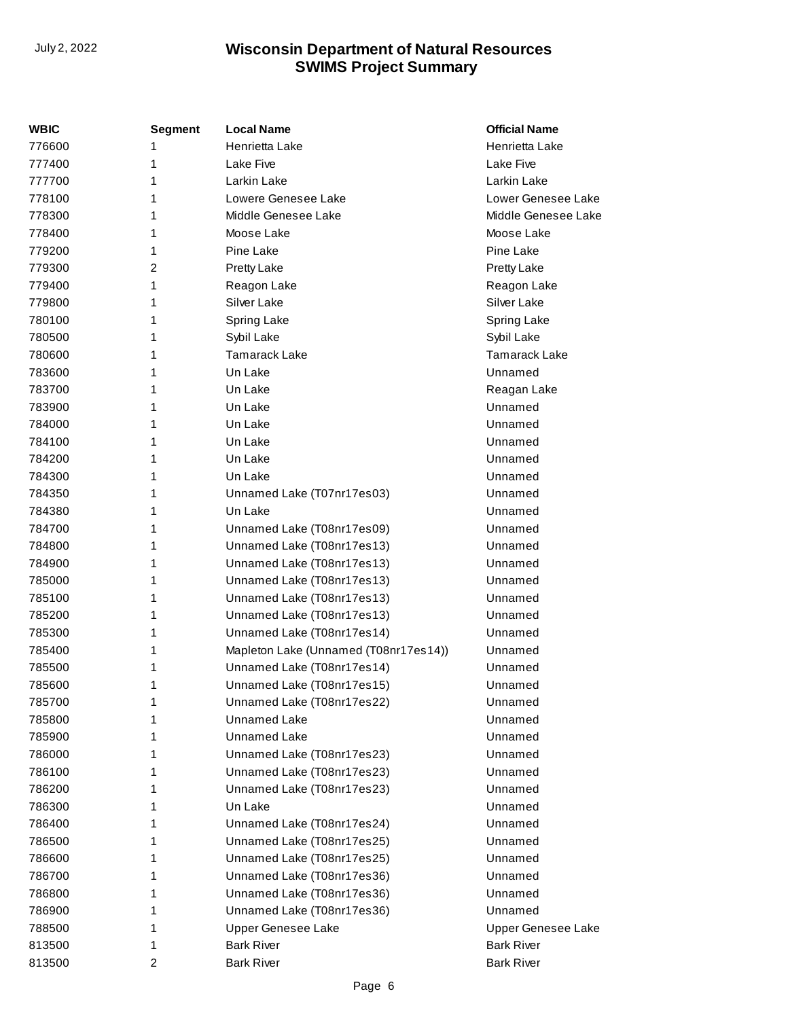| WBIC   | Segment        | <b>Local Name</b>                     | <b>Official Name</b> |
|--------|----------------|---------------------------------------|----------------------|
| 776600 | 1              | Henrietta Lake                        | Henrietta Lake       |
| 777400 | 1              | Lake Five                             | Lake Five            |
| 777700 | 1              | Larkin Lake                           | Larkin Lake          |
| 778100 | 1              | Lowere Genesee Lake                   | Lower Genesee Lake   |
| 778300 | 1              | Middle Genesee Lake                   | Middle Genesee Lake  |
| 778400 | 1              | Moose Lake                            | Moose Lake           |
| 779200 | 1              | Pine Lake                             | Pine Lake            |
| 779300 | $\overline{c}$ | Pretty Lake                           | Pretty Lake          |
| 779400 | 1              | Reagon Lake                           | Reagon Lake          |
| 779800 | 1              | Silver Lake                           | Silver Lake          |
| 780100 | 1              | Spring Lake                           | Spring Lake          |
| 780500 | 1              | Sybil Lake                            | Sybil Lake           |
| 780600 | 1              | <b>Tamarack Lake</b>                  | <b>Tamarack Lake</b> |
| 783600 | 1              | Un Lake                               | Unnamed              |
| 783700 | 1              | Un Lake                               | Reagan Lake          |
| 783900 | 1              | Un Lake                               | Unnamed              |
| 784000 | 1              | Un Lake                               | Unnamed              |
| 784100 | 1              | Un Lake                               | Unnamed              |
| 784200 | 1              | Un Lake                               | Unnamed              |
| 784300 | 1              | Un Lake                               | Unnamed              |
| 784350 | 1              | Unnamed Lake (T07nr17es03)            | Unnamed              |
| 784380 | 1              | Un Lake                               | Unnamed              |
| 784700 | 1              | Unnamed Lake (T08nr17es09)            | Unnamed              |
| 784800 | 1              | Unnamed Lake (T08nr17es13)            | Unnamed              |
| 784900 | 1              | Unnamed Lake (T08nr17es13)            | Unnamed              |
| 785000 | 1              | Unnamed Lake (T08nr17es13)            | Unnamed              |
| 785100 | 1              | Unnamed Lake (T08nr17es13)            | Unnamed              |
| 785200 | 1              | Unnamed Lake (T08nr17es13)            | Unnamed              |
| 785300 | 1              | Unnamed Lake (T08nr17es14)            | Unnamed              |
| 785400 | 1              | Mapleton Lake (Unnamed (T08nr17es14)) | Unnamed              |
| 785500 | 1              | Unnamed Lake (T08nr17es14)            | Unnamed              |
| 785600 | 1              | Unnamed Lake (T08nr17es15)            | Unnamed              |
| 785700 | 1              | Unnamed Lake (T08nr17es22)            | Unnamed              |
| 785800 | 1              | <b>Unnamed Lake</b>                   | Unnamed              |
| 785900 | 1              | Unnamed Lake                          | Unnamed              |
| 786000 | 1              | Unnamed Lake (T08nr17es23)            | Unnamed              |
| 786100 | 1              | Unnamed Lake (T08nr17es23)            | Unnamed              |
| 786200 | 1              | Unnamed Lake (T08nr17es23)            | Unnamed              |
| 786300 | 1              | Un Lake                               | Unnamed              |
| 786400 | 1              | Unnamed Lake (T08nr17es24)            | Unnamed              |
| 786500 | 1              | Unnamed Lake (T08nr17es25)            | Unnamed              |
| 786600 | 1              | Unnamed Lake (T08nr17es25)            | Unnamed              |
| 786700 | 1              | Unnamed Lake (T08nr17es36)            | Unnamed              |
| 786800 | 1              | Unnamed Lake (T08nr17es36)            | Unnamed              |
| 786900 | 1              | Unnamed Lake (T08nr17es36)            | Unnamed              |
| 788500 | 1              | Upper Genesee Lake                    | Upper Genesee Lake   |
| 813500 | 1              | <b>Bark River</b>                     | <b>Bark River</b>    |
| 813500 | 2              | <b>Bark River</b>                     | <b>Bark River</b>    |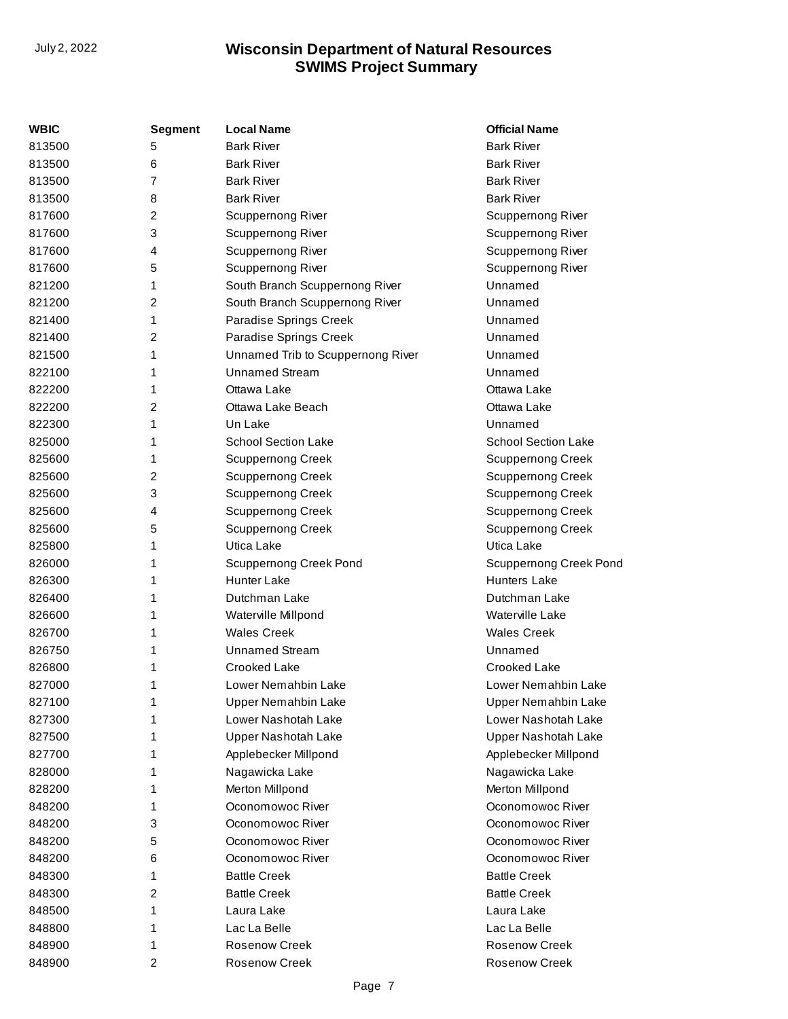| WBIC   | <b>Segment</b>          | <b>Local Name</b>                 | <b>Official Name</b>          |
|--------|-------------------------|-----------------------------------|-------------------------------|
| 813500 | 5                       | <b>Bark River</b>                 | <b>Bark River</b>             |
| 813500 | 6                       | <b>Bark River</b>                 | <b>Bark River</b>             |
| 813500 | $\overline{7}$          | <b>Bark River</b>                 | <b>Bark River</b>             |
| 813500 | 8                       | <b>Bark River</b>                 | <b>Bark River</b>             |
| 817600 | 2                       | <b>Scuppernong River</b>          | <b>Scuppernong River</b>      |
| 817600 | 3                       | Scuppernong River                 | Scuppernong River             |
| 817600 | 4                       | Scuppernong River                 | Scuppernong River             |
| 817600 | 5                       | Scuppernong River                 | Scuppernong River             |
| 821200 | 1                       | South Branch Scuppernong River    | Unnamed                       |
| 821200 | $\overline{c}$          | South Branch Scuppernong River    | Unnamed                       |
| 821400 | 1                       | Paradise Springs Creek            | Unnamed                       |
| 821400 | $\overline{2}$          | Paradise Springs Creek            | Unnamed                       |
| 821500 | 1                       | Unnamed Trib to Scuppernong River | Unnamed                       |
| 822100 | 1                       | <b>Unnamed Stream</b>             | Unnamed                       |
| 822200 | 1                       | Ottawa Lake                       | Ottawa Lake                   |
| 822200 | 2                       | Ottawa Lake Beach                 | Ottawa Lake                   |
| 822300 | 1                       | Un Lake                           | Unnamed                       |
| 825000 | 1                       | <b>School Section Lake</b>        | <b>School Section Lake</b>    |
| 825600 | 1                       | <b>Scuppernong Creek</b>          | <b>Scuppernong Creek</b>      |
| 825600 | 2                       | <b>Scuppernong Creek</b>          | <b>Scuppernong Creek</b>      |
| 825600 | 3                       | <b>Scuppernong Creek</b>          | <b>Scuppernong Creek</b>      |
| 825600 | 4                       | <b>Scuppernong Creek</b>          | <b>Scuppernong Creek</b>      |
| 825600 | 5                       | <b>Scuppernong Creek</b>          | <b>Scuppernong Creek</b>      |
| 825800 | 1                       | Utica Lake                        | Utica Lake                    |
| 826000 | 1                       | <b>Scuppernong Creek Pond</b>     | <b>Scuppernong Creek Pond</b> |
| 826300 | 1                       | <b>Hunter Lake</b>                | <b>Hunters Lake</b>           |
| 826400 | 1                       | Dutchman Lake                     | Dutchman Lake                 |
| 826600 | 1                       | Waterville Millpond               | Waterville Lake               |
| 826700 | 1                       | <b>Wales Creek</b>                | <b>Wales Creek</b>            |
| 826750 | 1                       | <b>Unnamed Stream</b>             | Unnamed                       |
| 826800 | 1                       | Crooked Lake                      | Crooked Lake                  |
| 827000 | 1                       | Lower Nemahbin Lake               | Lower Nemahbin Lake           |
| 827100 | 1                       | <b>Upper Nemahbin Lake</b>        | <b>Upper Nemahbin Lake</b>    |
| 827300 | 1                       | Lower Nashotah Lake               | Lower Nashotah Lake           |
| 827500 | 1                       | Upper Nashotah Lake               | Upper Nashotah Lake           |
| 827700 | 1                       | Applebecker Millpond              | Applebecker Millpond          |
| 828000 | 1                       | Nagawicka Lake                    | Nagawicka Lake                |
| 828200 | 1                       | Merton Millpond                   | Merton Millpond               |
| 848200 | 1                       | Oconomowoc River                  | Oconomowoc River              |
| 848200 | 3                       | Oconomowoc River                  | Oconomowoc River              |
| 848200 | 5                       | Oconomowoc River                  | Oconomowoc River              |
| 848200 | 6                       | Oconomowoc River                  | Oconomowoc River              |
| 848300 | 1                       | <b>Battle Creek</b>               | <b>Battle Creek</b>           |
| 848300 | 2                       | <b>Battle Creek</b>               | <b>Battle Creek</b>           |
| 848500 | 1                       | Laura Lake                        | Laura Lake                    |
| 848800 | 1                       | Lac La Belle                      | Lac La Belle                  |
| 848900 | 1                       | <b>Rosenow Creek</b>              | <b>Rosenow Creek</b>          |
| 848900 | $\overline{\mathbf{c}}$ | Rosenow Creek                     | Rosenow Creek                 |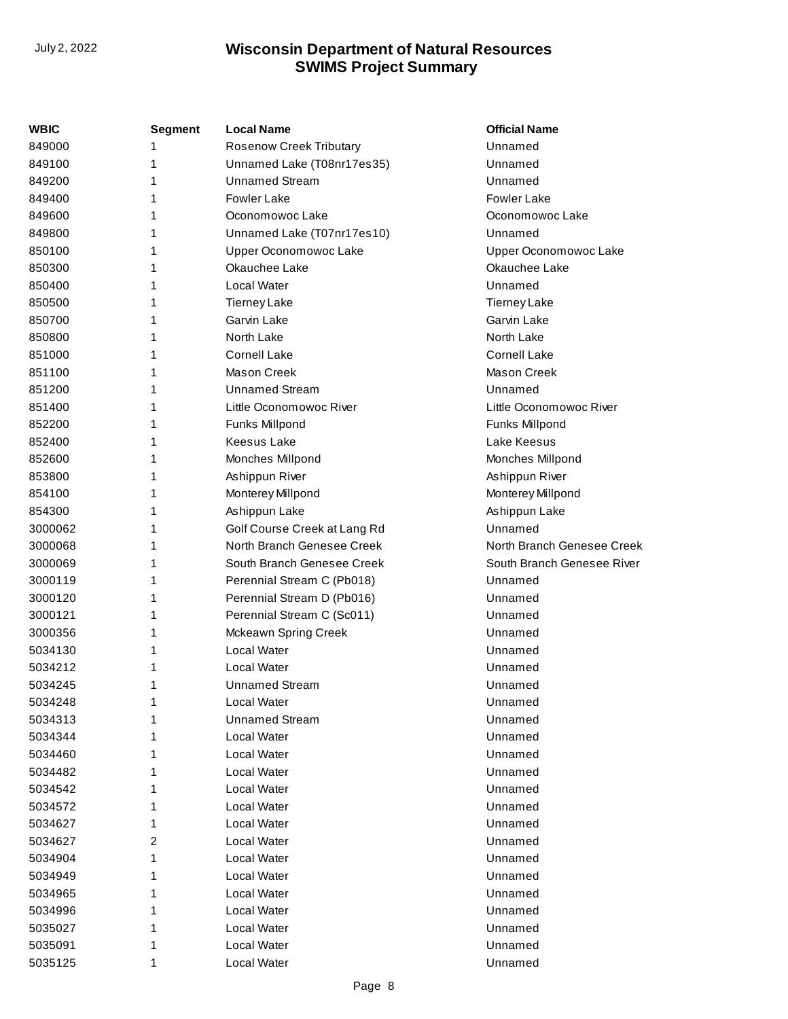| WBIC    | <b>Segment</b> | <b>Local Name</b>              | <b>Official Name</b>       |
|---------|----------------|--------------------------------|----------------------------|
| 849000  |                | <b>Rosenow Creek Tributary</b> | Unnamed                    |
| 849100  | 1              | Unnamed Lake (T08nr17es35)     | Unnamed                    |
| 849200  | 1              | <b>Unnamed Stream</b>          | Unnamed                    |
| 849400  | 1              | <b>Fowler Lake</b>             | <b>Fowler Lake</b>         |
| 849600  | 1              | Oconomowoc Lake                | Oconomowoc Lake            |
| 849800  | 1              | Unnamed Lake (T07nr17es10)     | Unnamed                    |
| 850100  | 1              | Upper Oconomowoc Lake          | Upper Oconomowoc Lake      |
| 850300  |                | Okauchee Lake                  | Okauchee Lake              |
| 850400  | 1              | Local Water                    | Unnamed                    |
| 850500  | 1              | <b>Tierney Lake</b>            | <b>Tierney Lake</b>        |
| 850700  | 1              | Garvin Lake                    | Garvin Lake                |
| 850800  | 1              | North Lake                     | North Lake                 |
| 851000  | 1              | <b>Cornell Lake</b>            | <b>Cornell Lake</b>        |
| 851100  | 1              | <b>Mason Creek</b>             | Mason Creek                |
| 851200  | 1              | <b>Unnamed Stream</b>          | Unnamed                    |
| 851400  | 1              | Little Oconomowoc River        | Little Oconomowoc River    |
| 852200  | 1              | Funks Millpond                 | Funks Millpond             |
| 852400  | 1              | <b>Keesus Lake</b>             | Lake Keesus                |
| 852600  | 1              | Monches Millpond               | Monches Millpond           |
| 853800  | 1              | Ashippun River                 | Ashippun River             |
| 854100  | 1              | Monterey Millpond              | Monterey Millpond          |
| 854300  | 1              | Ashippun Lake                  | Ashippun Lake              |
| 3000062 | 1              | Golf Course Creek at Lang Rd   | Unnamed                    |
| 3000068 | 1              | North Branch Genesee Creek     | North Branch Genesee Creek |
| 3000069 | 1              | South Branch Genesee Creek     | South Branch Genesee River |
| 3000119 | 1              | Perennial Stream C (Pb018)     | Unnamed                    |
| 3000120 | 1              | Perennial Stream D (Pb016)     | Unnamed                    |
| 3000121 | 1              | Perennial Stream C (Sc011)     | Unnamed                    |
| 3000356 | 1              | Mckeawn Spring Creek           | Unnamed                    |
| 5034130 | 1.             | Local Water                    | Unnamed                    |
| 5034212 | 1              | Local Water                    | Unnamed                    |
| 5034245 | 1              | <b>Unnamed Stream</b>          | Unnamed                    |
| 5034248 | 1              | Local Water                    | Unnamed                    |
| 5034313 | 1              | <b>Unnamed Stream</b>          | Unnamed                    |
| 5034344 | 1              | Local Water                    | Unnamed                    |
| 5034460 | 1              | Local Water                    | Unnamed                    |
| 5034482 | 1              | Local Water                    | Unnamed                    |
| 5034542 | 1              | Local Water                    | Unnamed                    |
| 5034572 | 1              | Local Water                    | Unnamed                    |
| 5034627 | 1              | Local Water                    | Unnamed                    |
| 5034627 | 2              | Local Water                    | Unnamed                    |
| 5034904 | 1              | Local Water                    | Unnamed                    |
| 5034949 | 1              | Local Water                    | Unnamed                    |
| 5034965 | 1              | Local Water                    | Unnamed                    |
| 5034996 | 1              | Local Water                    | Unnamed                    |
| 5035027 | 1              | Local Water                    | Unnamed                    |
| 5035091 | 1              | Local Water                    | Unnamed                    |
| 5035125 | 1              | Local Water                    | Unnamed                    |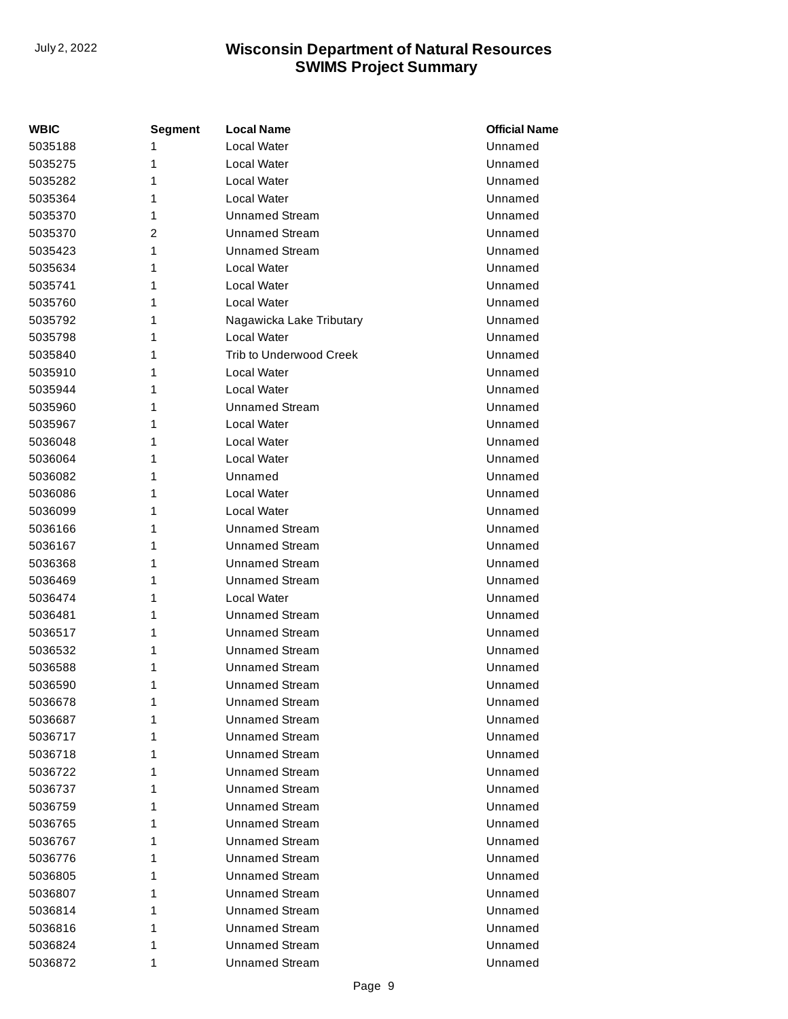| WBIC    | Segment | <b>Local Name</b>              | <b>Official Name</b> |
|---------|---------|--------------------------------|----------------------|
| 5035188 | 1       | Local Water                    | Unnamed              |
| 5035275 | 1       | Local Water                    | Unnamed              |
| 5035282 | 1       | Local Water                    | Unnamed              |
| 5035364 | 1       | Local Water                    | Unnamed              |
| 5035370 | 1       | <b>Unnamed Stream</b>          | Unnamed              |
| 5035370 | 2       | <b>Unnamed Stream</b>          | Unnamed              |
| 5035423 | 1       | <b>Unnamed Stream</b>          | Unnamed              |
| 5035634 | 1       | Local Water                    | Unnamed              |
| 5035741 | 1       | Local Water                    | Unnamed              |
| 5035760 | 1       | Local Water                    | Unnamed              |
| 5035792 | 1       | Nagawicka Lake Tributary       | Unnamed              |
| 5035798 | 1       | Local Water                    | Unnamed              |
| 5035840 | 1       | <b>Trib to Underwood Creek</b> | Unnamed              |
| 5035910 | 1       | Local Water                    | Unnamed              |
| 5035944 | 1       | Local Water                    | Unnamed              |
| 5035960 | 1       | <b>Unnamed Stream</b>          | Unnamed              |
| 5035967 | 1       | Local Water                    | Unnamed              |
| 5036048 | 1       | Local Water                    | Unnamed              |
| 5036064 | 1       | Local Water                    | Unnamed              |
| 5036082 | 1       | Unnamed                        | Unnamed              |
| 5036086 | 1       | Local Water                    | Unnamed              |
| 5036099 | 1       | Local Water                    | Unnamed              |
| 5036166 | 1       | <b>Unnamed Stream</b>          | Unnamed              |
| 5036167 | 1       | <b>Unnamed Stream</b>          | Unnamed              |
| 5036368 | 1       | <b>Unnamed Stream</b>          | Unnamed              |
| 5036469 | 1       | <b>Unnamed Stream</b>          | Unnamed              |
| 5036474 | 1       | Local Water                    | Unnamed              |
| 5036481 | 1       | <b>Unnamed Stream</b>          | Unnamed              |
| 5036517 | 1       | <b>Unnamed Stream</b>          | Unnamed              |
| 5036532 | 1       | <b>Unnamed Stream</b>          | Unnamed              |
| 5036588 | 1       | Unnamed Stream                 | Unnamed              |
| 5036590 | 1       | <b>Unnamed Stream</b>          | Unnamed              |
| 5036678 | 1       | <b>Unnamed Stream</b>          | Unnamed              |
| 5036687 | 1       | Unnamed Stream                 | Unnamed              |
| 5036717 | 1       | <b>Unnamed Stream</b>          | Unnamed              |
| 5036718 | 1       | <b>Unnamed Stream</b>          | Unnamed              |
| 5036722 | 1       | <b>Unnamed Stream</b>          | Unnamed              |
| 5036737 | 1       | <b>Unnamed Stream</b>          | Unnamed              |
| 5036759 | 1       | <b>Unnamed Stream</b>          | Unnamed              |
| 5036765 | 1       | <b>Unnamed Stream</b>          | Unnamed              |
| 5036767 | 1       | <b>Unnamed Stream</b>          | Unnamed              |
| 5036776 | 1       | <b>Unnamed Stream</b>          | Unnamed              |
| 5036805 | 1       | <b>Unnamed Stream</b>          | Unnamed              |
| 5036807 | 1       | <b>Unnamed Stream</b>          | Unnamed              |
| 5036814 | 1       | <b>Unnamed Stream</b>          | Unnamed              |
| 5036816 | 1       | <b>Unnamed Stream</b>          | Unnamed              |
| 5036824 | 1       | <b>Unnamed Stream</b>          | Unnamed              |
| 5036872 | 1       | <b>Unnamed Stream</b>          | Unnamed              |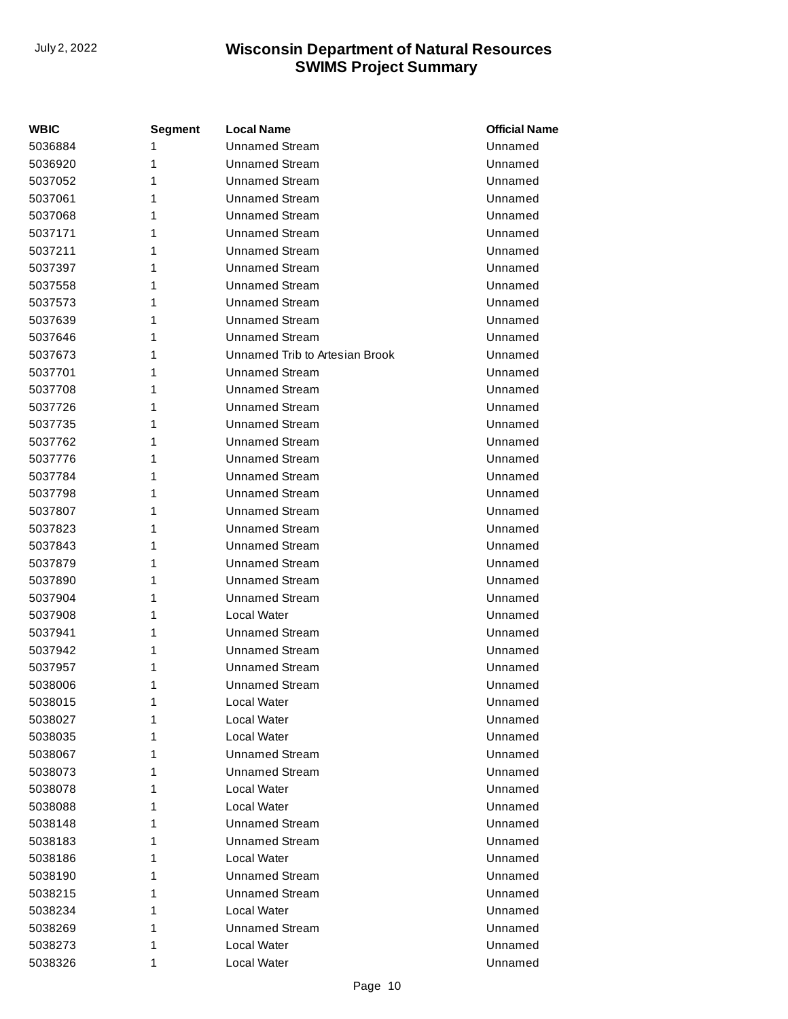| <b>WBIC</b> | Segment | <b>Local Name</b>              | <b>Official Name</b> |
|-------------|---------|--------------------------------|----------------------|
| 5036884     | 1       | <b>Unnamed Stream</b>          | Unnamed              |
| 5036920     | 1       | <b>Unnamed Stream</b>          | Unnamed              |
| 5037052     | 1       | <b>Unnamed Stream</b>          | Unnamed              |
| 5037061     | 1       | <b>Unnamed Stream</b>          | Unnamed              |
| 5037068     | 1       | <b>Unnamed Stream</b>          | Unnamed              |
| 5037171     | 1       | <b>Unnamed Stream</b>          | Unnamed              |
| 5037211     | 1       | <b>Unnamed Stream</b>          | Unnamed              |
| 5037397     | 1       | <b>Unnamed Stream</b>          | Unnamed              |
| 5037558     | 1       | <b>Unnamed Stream</b>          | Unnamed              |
| 5037573     | 1       | <b>Unnamed Stream</b>          | Unnamed              |
| 5037639     | 1       | <b>Unnamed Stream</b>          | Unnamed              |
| 5037646     | 1       | <b>Unnamed Stream</b>          | Unnamed              |
| 5037673     | 1       | Unnamed Trib to Artesian Brook | Unnamed              |
| 5037701     | 1       | <b>Unnamed Stream</b>          | Unnamed              |
| 5037708     | 1       | <b>Unnamed Stream</b>          | Unnamed              |
| 5037726     | 1       | <b>Unnamed Stream</b>          | Unnamed              |
| 5037735     | 1       | <b>Unnamed Stream</b>          | Unnamed              |
| 5037762     | 1       | <b>Unnamed Stream</b>          | Unnamed              |
| 5037776     | 1       | <b>Unnamed Stream</b>          | Unnamed              |
| 5037784     | 1       | <b>Unnamed Stream</b>          | Unnamed              |
| 5037798     | 1       | <b>Unnamed Stream</b>          | Unnamed              |
| 5037807     | 1       | <b>Unnamed Stream</b>          | Unnamed              |
| 5037823     | 1       | <b>Unnamed Stream</b>          | Unnamed              |
| 5037843     | 1       | <b>Unnamed Stream</b>          | Unnamed              |
| 5037879     | 1       | <b>Unnamed Stream</b>          | Unnamed              |
| 5037890     | 1       | <b>Unnamed Stream</b>          | Unnamed              |
| 5037904     | 1       | <b>Unnamed Stream</b>          | Unnamed              |
| 5037908     | 1       | Local Water                    | Unnamed              |
| 5037941     | 1       | <b>Unnamed Stream</b>          | Unnamed              |
| 5037942     | 1       | <b>Unnamed Stream</b>          | Unnamed              |
| 5037957     | 1       | <b>Unnamed Stream</b>          | Unnamed              |
| 5038006     | 1       | <b>Unnamed Stream</b>          | Unnamed              |
| 5038015     | 1       | Local Water                    | Unnamed              |
| 5038027     | 1       | Local Water                    | Unnamed              |
| 5038035     | 1       | Local Water                    | Unnamed              |
| 5038067     | 1       | Unnamed Stream                 | Unnamed              |
| 5038073     | 1       | Unnamed Stream                 | Unnamed              |
| 5038078     | 1       | Local Water                    | Unnamed              |
| 5038088     | 1       | Local Water                    | Unnamed              |
| 5038148     | 1       | <b>Unnamed Stream</b>          | Unnamed              |
| 5038183     | 1       | <b>Unnamed Stream</b>          | Unnamed              |
| 5038186     | 1       | Local Water                    | Unnamed              |
| 5038190     | 1       | Unnamed Stream                 | Unnamed              |
| 5038215     | 1       | Unnamed Stream                 | Unnamed              |
| 5038234     | 1       | Local Water                    | Unnamed              |
| 5038269     | 1       | Unnamed Stream                 | Unnamed              |
| 5038273     | 1       | Local Water                    | Unnamed              |
| 5038326     | 1       | Local Water                    | Unnamed              |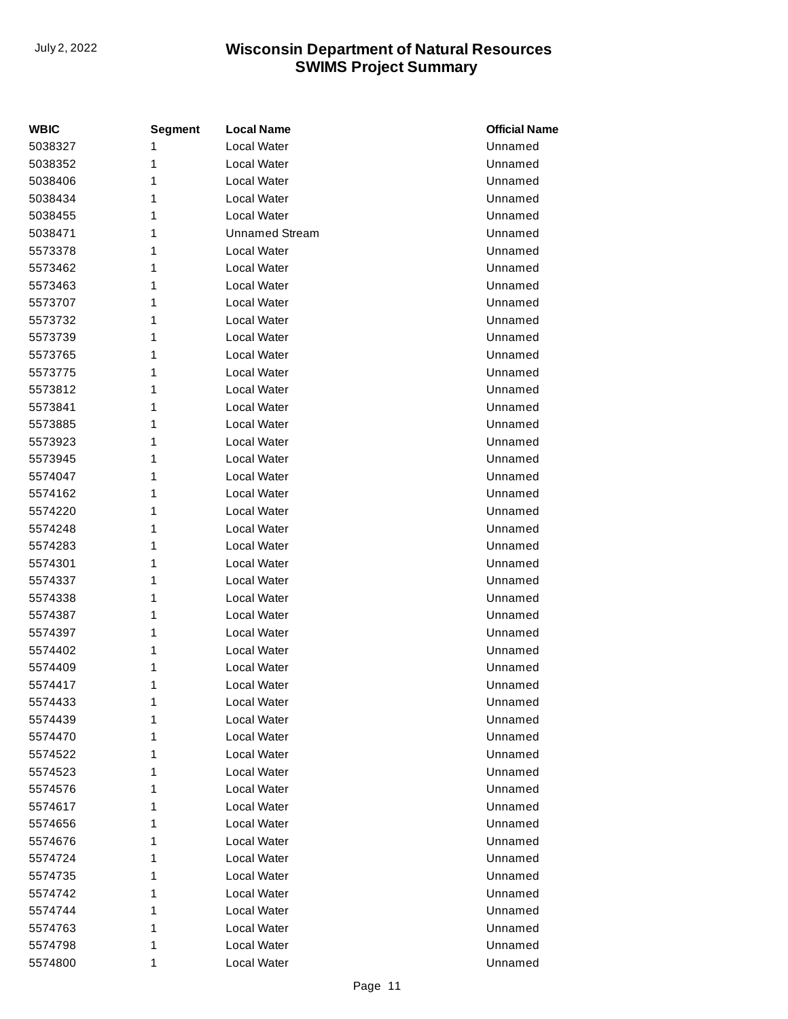| <b>WBIC</b> | <b>Segment</b> | <b>Local Name</b>     | <b>Official Name</b> |
|-------------|----------------|-----------------------|----------------------|
| 5038327     | 1              | Local Water           | Unnamed              |
| 5038352     | 1              | Local Water           | Unnamed              |
| 5038406     | 1              | Local Water           | Unnamed              |
| 5038434     | 1              | Local Water           | Unnamed              |
| 5038455     | 1              | Local Water           | Unnamed              |
| 5038471     | 1              | <b>Unnamed Stream</b> | Unnamed              |
| 5573378     | 1              | Local Water           | Unnamed              |
| 5573462     | 1              | Local Water           | Unnamed              |
| 5573463     | 1              | Local Water           | Unnamed              |
| 5573707     | 1              | Local Water           | Unnamed              |
| 5573732     | 1              | Local Water           | Unnamed              |
| 5573739     | 1              | Local Water           | Unnamed              |
| 5573765     | 1              | Local Water           | Unnamed              |
| 5573775     | 1              | Local Water           | Unnamed              |
| 5573812     | 1              | Local Water           | Unnamed              |
| 5573841     | 1              | Local Water           | Unnamed              |
| 5573885     | 1              | Local Water           | Unnamed              |
| 5573923     | 1              | Local Water           | Unnamed              |
| 5573945     | 1              | Local Water           | Unnamed              |
| 5574047     | 1              | Local Water           | Unnamed              |
| 5574162     | 1              | Local Water           | Unnamed              |
| 5574220     | 1              | Local Water           | Unnamed              |
| 5574248     | 1              | Local Water           | Unnamed              |
| 5574283     | 1              | Local Water           | Unnamed              |
| 5574301     | 1              | Local Water           | Unnamed              |
| 5574337     | 1              | Local Water           | Unnamed              |
| 5574338     | 1              | Local Water           | Unnamed              |
| 5574387     | 1              | Local Water           | Unnamed              |
| 5574397     | 1              | Local Water           | Unnamed              |
| 5574402     | 1              | Local Water           | Unnamed              |
| 5574409     | 1              | Local Water           | Unnamed              |
| 5574417     | 1              | Local Water           | Unnamed              |
| 5574433     | 1              | Local Water           | Unnamed              |
| 5574439     | 1              | Local Water           | Unnamed              |
| 5574470     | 1              | Local Water           | Unnamed              |
| 5574522     | 1              | Local Water           | Unnamed              |
| 5574523     | 1              | Local Water           | Unnamed              |
| 5574576     | 1              | Local Water           | Unnamed              |
| 5574617     | 1              | Local Water           | Unnamed              |
| 5574656     | 1              | Local Water           | Unnamed              |
| 5574676     | 1              | Local Water           | Unnamed              |
| 5574724     | 1              | Local Water           | Unnamed              |
| 5574735     | 1              | Local Water           | Unnamed              |
| 5574742     | 1              | Local Water           | Unnamed              |
| 5574744     | 1              | Local Water           | Unnamed              |
| 5574763     | 1              | Local Water           | Unnamed              |
| 5574798     | 1              | Local Water           | Unnamed              |
| 5574800     | 1              | Local Water           | Unnamed              |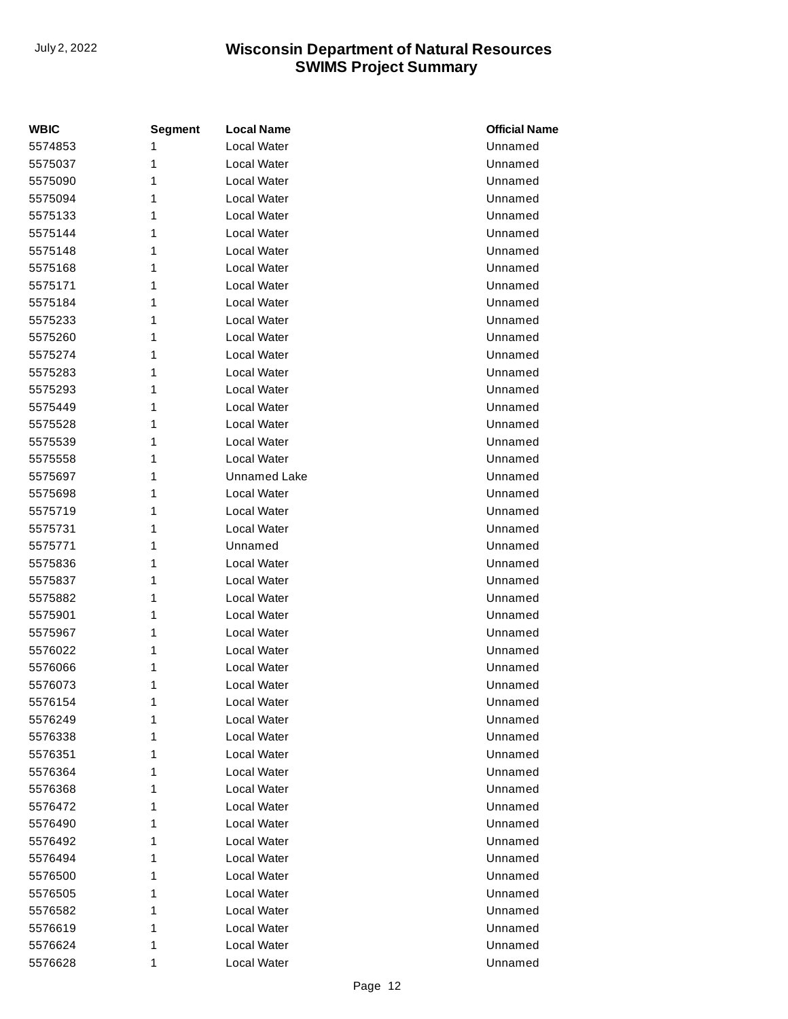| <b>WBIC</b> | <b>Segment</b> | <b>Local Name</b>   | <b>Official Name</b> |
|-------------|----------------|---------------------|----------------------|
| 5574853     | 1              | Local Water         | Unnamed              |
| 5575037     | 1              | Local Water         | Unnamed              |
| 5575090     | 1              | Local Water         | Unnamed              |
| 5575094     | 1              | Local Water         | Unnamed              |
| 5575133     | 1              | Local Water         | Unnamed              |
| 5575144     | 1              | Local Water         | Unnamed              |
| 5575148     | 1              | Local Water         | Unnamed              |
| 5575168     | 1              | Local Water         | Unnamed              |
| 5575171     | 1              | Local Water         | Unnamed              |
| 5575184     | 1              | Local Water         | Unnamed              |
| 5575233     | 1              | Local Water         | Unnamed              |
| 5575260     | 1              | Local Water         | Unnamed              |
| 5575274     | 1              | Local Water         | Unnamed              |
| 5575283     | 1              | Local Water         | Unnamed              |
| 5575293     | 1              | Local Water         | Unnamed              |
| 5575449     | 1              | Local Water         | Unnamed              |
| 5575528     | 1              | Local Water         | Unnamed              |
| 5575539     | 1              | Local Water         | Unnamed              |
| 5575558     | 1              | Local Water         | Unnamed              |
| 5575697     | 1              | <b>Unnamed Lake</b> | Unnamed              |
| 5575698     | 1              | Local Water         | Unnamed              |
| 5575719     | 1              | Local Water         | Unnamed              |
| 5575731     | 1              | Local Water         | Unnamed              |
| 5575771     | 1              | Unnamed             | Unnamed              |
| 5575836     | 1              | Local Water         | Unnamed              |
| 5575837     | 1              | Local Water         | Unnamed              |
| 5575882     | 1              | Local Water         | Unnamed              |
| 5575901     | 1              | Local Water         | Unnamed              |
| 5575967     | 1              | Local Water         | Unnamed              |
| 5576022     | 1              | Local Water         | Unnamed              |
| 5576066     | 1              | Local Water         | Unnamed              |
| 5576073     | 1              | Local Water         | Unnamed              |
| 5576154     | 1              | Local Water         | Unnamed              |
| 5576249     | 1              | Local Water         | Unnamed              |
| 5576338     | 1              | Local Water         | Unnamed              |
| 5576351     | 1              | Local Water         | Unnamed              |
| 5576364     | 1              | Local Water         | Unnamed              |
| 5576368     | 1              | Local Water         | Unnamed              |
| 5576472     | 1              | Local Water         | Unnamed              |
| 5576490     | 1              | Local Water         | Unnamed              |
| 5576492     | 1              | Local Water         | Unnamed              |
| 5576494     | 1              | Local Water         | Unnamed              |
| 5576500     | 1              | Local Water         | Unnamed              |
| 5576505     | 1              | Local Water         | Unnamed              |
| 5576582     | 1              | Local Water         | Unnamed              |
| 5576619     | 1              | Local Water         | Unnamed              |
| 5576624     | 1              | Local Water         | Unnamed              |
| 5576628     | 1              | Local Water         | Unnamed              |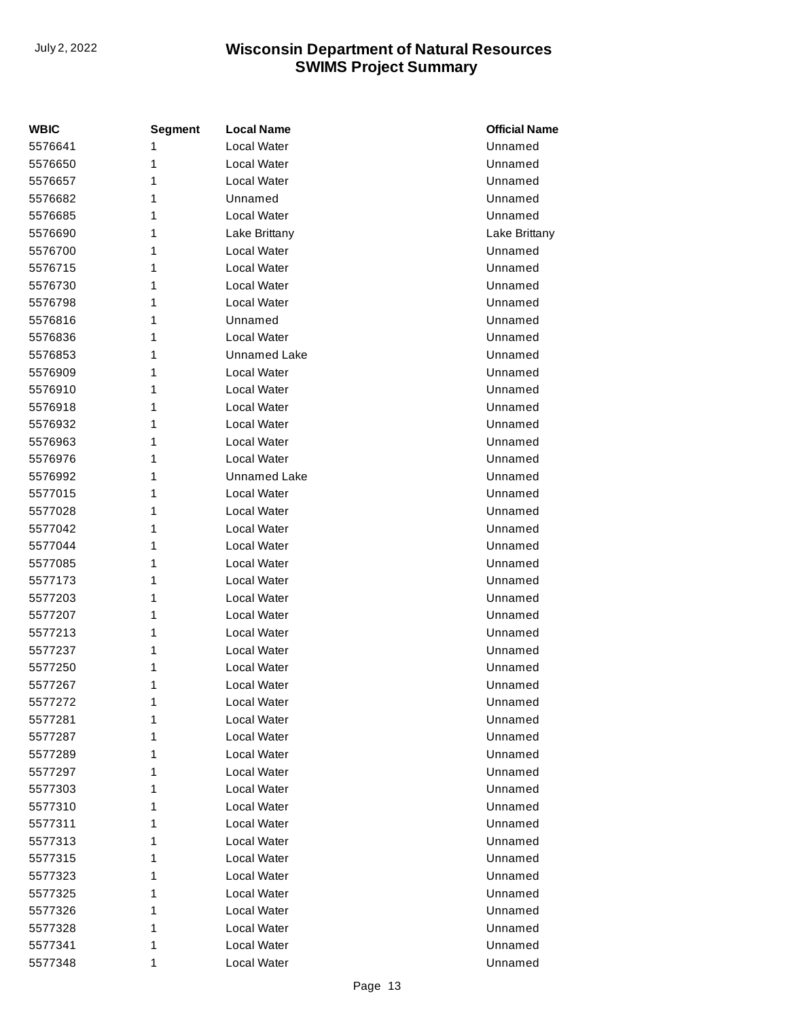| <b>WBIC</b> | <b>Segment</b> | <b>Local Name</b>   | <b>Official Name</b> |
|-------------|----------------|---------------------|----------------------|
| 5576641     | 1              | Local Water         | Unnamed              |
| 5576650     | 1              | Local Water         | Unnamed              |
| 5576657     | 1              | Local Water         | Unnamed              |
| 5576682     | 1              | Unnamed             | Unnamed              |
| 5576685     | 1              | Local Water         | Unnamed              |
| 5576690     | 1              | Lake Brittany       | Lake Brittany        |
| 5576700     | 1              | Local Water         | Unnamed              |
| 5576715     | 1              | Local Water         | Unnamed              |
| 5576730     | 1              | Local Water         | Unnamed              |
| 5576798     | 1              | Local Water         | Unnamed              |
| 5576816     | 1              | Unnamed             | Unnamed              |
| 5576836     | 1              | Local Water         | Unnamed              |
| 5576853     | 1              | <b>Unnamed Lake</b> | Unnamed              |
| 5576909     | 1              | Local Water         | Unnamed              |
| 5576910     | 1              | Local Water         | Unnamed              |
| 5576918     | 1              | Local Water         | Unnamed              |
| 5576932     | 1              | Local Water         | Unnamed              |
| 5576963     | 1              | Local Water         | Unnamed              |
| 5576976     | 1              | Local Water         | Unnamed              |
| 5576992     | 1              | <b>Unnamed Lake</b> | Unnamed              |
| 5577015     | 1              | Local Water         | Unnamed              |
| 5577028     | 1              | Local Water         | Unnamed              |
| 5577042     | 1              | Local Water         | Unnamed              |
| 5577044     | 1              | Local Water         | Unnamed              |
| 5577085     | 1              | Local Water         | Unnamed              |
| 5577173     | 1              | Local Water         | Unnamed              |
| 5577203     | 1              | Local Water         | Unnamed              |
| 5577207     | 1              | Local Water         | Unnamed              |
| 5577213     | 1              | Local Water         | Unnamed              |
| 5577237     | 1              | Local Water         | Unnamed              |
| 5577250     | 1              | Local Water         | Unnamed              |
| 5577267     | 1              | Local Water         | Unnamed              |
| 5577272     | 1              | <b>Local Water</b>  | Unnamed              |
| 5577281     | 1              | Local Water         | Unnamed              |
| 5577287     | 1              | Local Water         | Unnamed              |
| 5577289     | 1              | Local Water         | Unnamed              |
| 5577297     | 1              | Local Water         | Unnamed              |
| 5577303     | 1              | Local Water         | Unnamed              |
| 5577310     | 1              | Local Water         | Unnamed              |
| 5577311     | 1              | Local Water         | Unnamed              |
| 5577313     | 1              | Local Water         | Unnamed              |
| 5577315     | 1              | Local Water         | Unnamed              |
| 5577323     | 1              | Local Water         | Unnamed              |
| 5577325     | 1              | Local Water         | Unnamed              |
| 5577326     | 1              | Local Water         | Unnamed              |
| 5577328     | 1              | Local Water         | Unnamed              |
| 5577341     | 1              | Local Water         | Unnamed              |
| 5577348     | 1              | Local Water         | Unnamed              |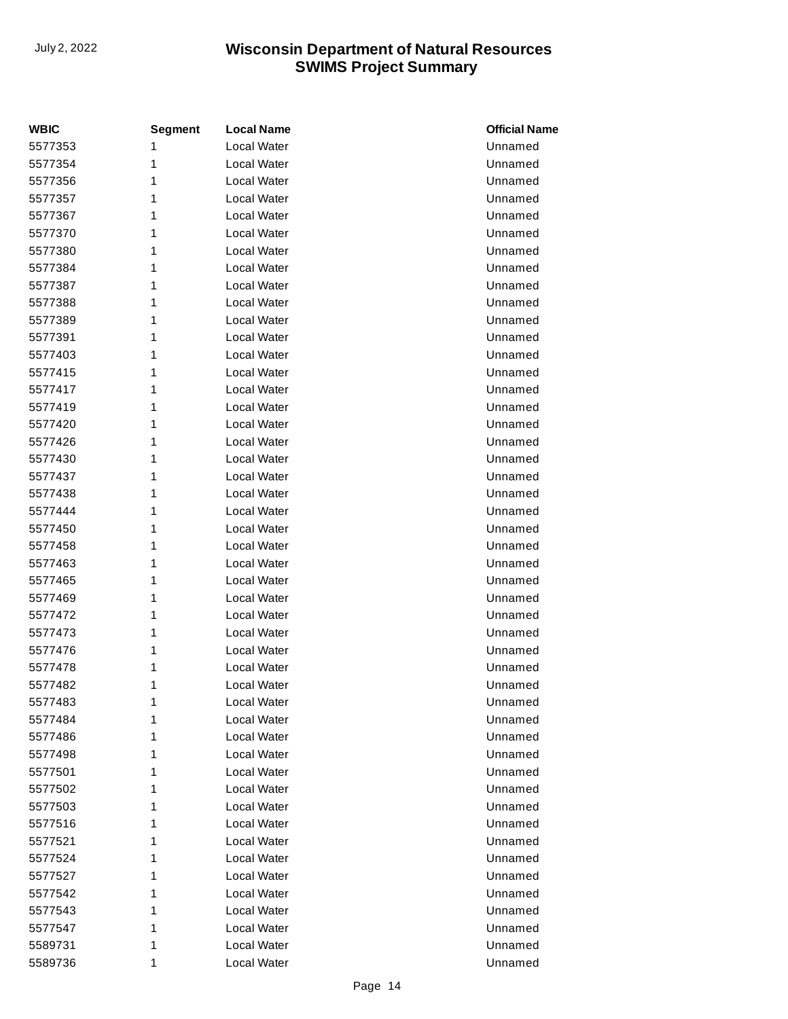| <b>WBIC</b> | <b>Segment</b> | <b>Local Name</b> | <b>Official Name</b> |
|-------------|----------------|-------------------|----------------------|
| 5577353     | 1              | Local Water       | Unnamed              |
| 5577354     | 1              | Local Water       | Unnamed              |
| 5577356     | 1              | Local Water       | Unnamed              |
| 5577357     | 1              | Local Water       | Unnamed              |
| 5577367     | 1              | Local Water       | Unnamed              |
| 5577370     | 1              | Local Water       | Unnamed              |
| 5577380     | 1              | Local Water       | Unnamed              |
| 5577384     | 1              | Local Water       | Unnamed              |
| 5577387     | 1              | Local Water       | Unnamed              |
| 5577388     | 1              | Local Water       | Unnamed              |
| 5577389     | 1              | Local Water       | Unnamed              |
| 5577391     | 1              | Local Water       | Unnamed              |
| 5577403     | 1              | Local Water       | Unnamed              |
| 5577415     | 1              | Local Water       | Unnamed              |
| 5577417     | 1              | Local Water       | Unnamed              |
| 5577419     | 1              | Local Water       | Unnamed              |
| 5577420     | 1              | Local Water       | Unnamed              |
| 5577426     | 1              | Local Water       | Unnamed              |
| 5577430     | 1              | Local Water       | Unnamed              |
| 5577437     | 1              | Local Water       | Unnamed              |
| 5577438     | 1              | Local Water       | Unnamed              |
| 5577444     | 1              | Local Water       | Unnamed              |
| 5577450     | 1              | Local Water       | Unnamed              |
| 5577458     | 1              | Local Water       | Unnamed              |
| 5577463     | 1              | Local Water       | Unnamed              |
| 5577465     | 1              | Local Water       | Unnamed              |
| 5577469     | 1              | Local Water       | Unnamed              |
| 5577472     | 1              | Local Water       | Unnamed              |
| 5577473     | 1              | Local Water       | Unnamed              |
| 5577476     | 1              | Local Water       | Unnamed              |
| 5577478     | 1              | Local Water       | Unnamed              |
| 5577482     | 1              | Local Water       | Unnamed              |
| 5577483     | 1              | Local Water       | Unnamed              |
| 5577484     | 1              | Local Water       | Unnamed              |
| 5577486     | 1              | Local Water       | Unnamed              |
| 5577498     | 1              | Local Water       | Unnamed              |
| 5577501     | 1              | Local Water       | Unnamed              |
| 5577502     | 1              | Local Water       | Unnamed              |
| 5577503     | 1              | Local Water       | Unnamed              |
| 5577516     | 1              | Local Water       | Unnamed              |
| 5577521     | 1              | Local Water       | Unnamed              |
| 5577524     | 1              | Local Water       | Unnamed              |
| 5577527     | 1              | Local Water       | Unnamed              |
| 5577542     | 1              | Local Water       | Unnamed              |
| 5577543     | 1              | Local Water       | Unnamed              |
| 5577547     | 1              | Local Water       | Unnamed              |
| 5589731     | 1              | Local Water       | Unnamed              |
| 5589736     | 1              | Local Water       | Unnamed              |